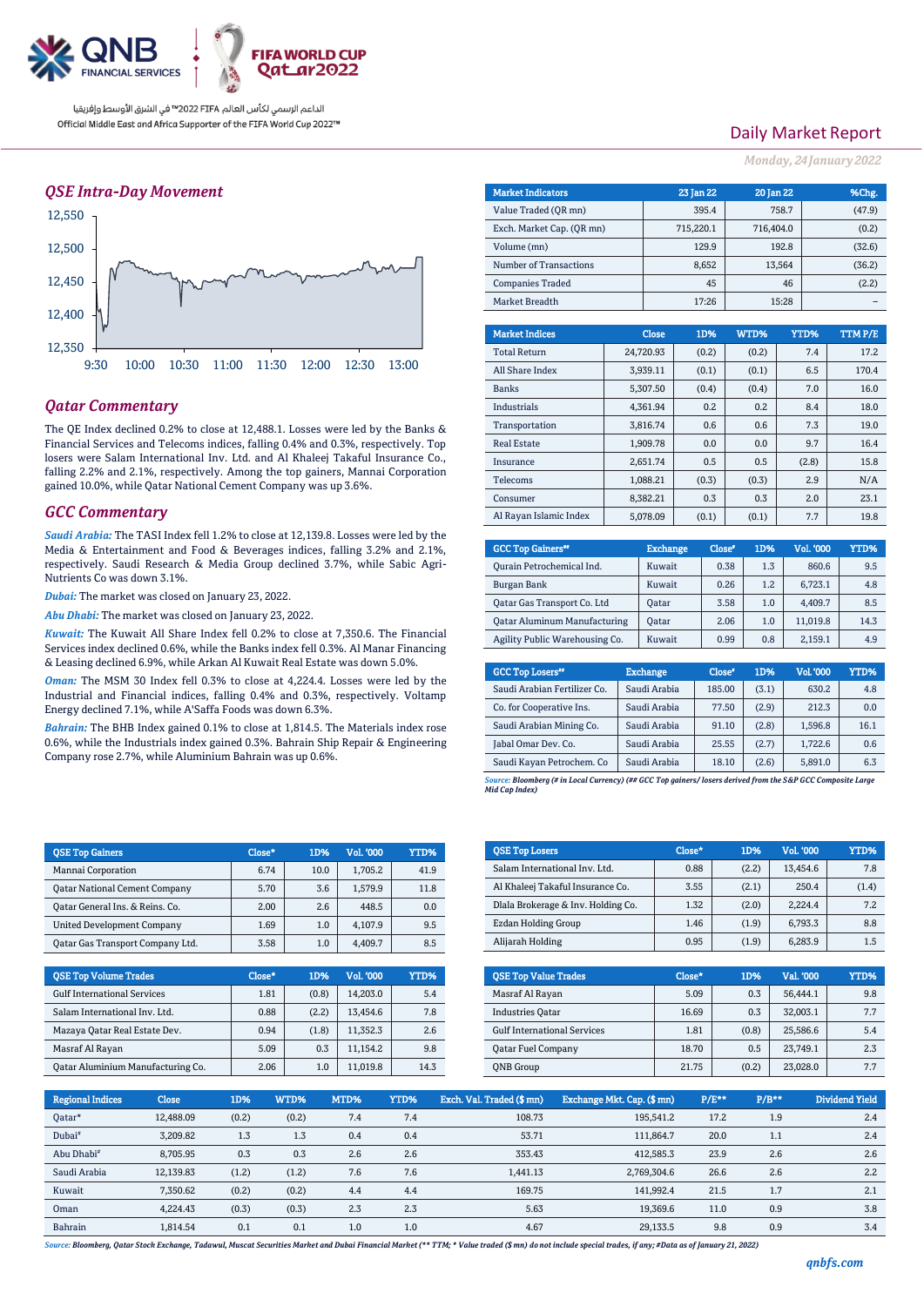

الداعم الرسمي لكأس العالم PIFA≤™ في الشرق الأوسط وإفريقيا Official Middle East and Africa Supporter of the FIFA World Cup 2022™

## *QSE Intra-Day Movement*



## *Qatar Commentary*

The QE Index declined 0.2% to close at 12,488.1. Losses were led by the Banks & Financial Services and Telecoms indices, falling 0.4% and 0.3%, respectively. Top losers were Salam International Inv. Ltd. and Al Khaleej Takaful Insurance Co., falling 2.2% and 2.1%, respectively. Among the top gainers, Mannai Corporation gained 10.0%, while Qatar National Cement Company was up 3.6%.

### *GCC Commentary*

*Saudi Arabia:* The TASI Index fell 1.2% to close at 12,139.8. Losses were led by the Media & Entertainment and Food & Beverages indices, falling 3.2% and 2.1%, respectively. Saudi Research & Media Group declined 3.7%, while Sabic Agri-Nutrients Co was down 3.1%.

*Dubai:* The market was closed on January 23, 2022.

*Abu Dhabi:* The market was closed on January 23, 2022.

*Kuwait:* The Kuwait All Share Index fell 0.2% to close at 7,350.6. The Financial Services index declined 0.6%, while the Banks index fell 0.3%. Al Manar Financing & Leasing declined 6.9%, while Arkan Al Kuwait Real Estate was down 5.0%.

*Oman:* The MSM 30 Index fell 0.3% to close at 4,224.4. Losses were led by the Industrial and Financial indices, falling 0.4% and 0.3%, respectively. Voltamp Energy declined 7.1%, while A'Saffa Foods was down 6.3%.

*Bahrain:* The BHB Index gained 0.1% to close at 1,814.5. The Materials index rose 0.6%, while the Industrials index gained 0.3%. Bahrain Ship Repair & Engineering Company rose 2.7%, while Aluminium Bahrain was up 0.6%.

| <b>OSE Top Gainers</b>               | Close* | 1D%  | <b>Vol. '000</b> | YTD% |
|--------------------------------------|--------|------|------------------|------|
| Mannai Corporation                   | 6.74   | 10.0 | 1.705.2          | 41.9 |
| <b>Qatar National Cement Company</b> | 5.70   | 3.6  | 1.579.9          | 11.8 |
| Oatar General Ins. & Reins. Co.      | 2.00   | 2.6  | 448.5            | 0.0  |
| <b>United Development Company</b>    | 1.69   | 1.0  | 4.107.9          | 9.5  |
| Oatar Gas Transport Company Ltd.     | 3.58   | 1.0  | 4.409.7          | 8.5  |

| <b>OSE Top Volume Trades</b>       | Close* | 1D%   | Vol. '000 | YTD% |
|------------------------------------|--------|-------|-----------|------|
| <b>Gulf International Services</b> | 1.81   | (0.8) | 14.203.0  | 5.4  |
| Salam International Inv. Ltd.      | 0.88   | (2.2) | 13.454.6  | 7.8  |
| Mazaya Qatar Real Estate Dev.      | 0.94   | (1.8) | 11.352.3  | 2.6  |
| Masraf Al Rayan                    | 5.09   | 0.3   | 11.154.2  | 9.8  |
| Oatar Aluminium Manufacturing Co.  | 2.06   | 1.0   | 11.019.8  | 14.3 |

## Daily Market Report

*Monday, 24January 2022*

| <b>Market Indicators</b>  |              | 23 Jan 22 | <b>20 Jan 22</b> |        |     | %Chg.  |
|---------------------------|--------------|-----------|------------------|--------|-----|--------|
| Value Traded (OR mn)      |              | 395.4     |                  | 758.7  |     | (47.9) |
| Exch. Market Cap. (QR mn) |              | 715,220.1 | 716,404.0        |        |     | (0.2)  |
| Volume (mn)               |              | 129.9     |                  | 192.8  |     | (32.6) |
| Number of Transactions    | 8,652        |           |                  | 13,564 |     | (36.2) |
| <b>Companies Traded</b>   |              | 45        |                  | 46     |     | (2.2)  |
| Market Breadth            |              | 17:26     |                  | 15:28  |     |        |
|                           |              |           |                  |        |     |        |
| <b>Market Indices</b>     | <b>Close</b> | 1D%       | WTD%             | YTD%   |     | TTMP/E |
| <b>Total Return</b>       | 24,720.93    | (0.2)     | (0.2)            |        | 7.4 | 17.2   |
| All Share Index           | 3,939.11     | (0.1)     | (0.1)            |        | 6.5 | 170.4  |
| <b>Banks</b>              | 5,307.50     | (0.4)     | (0.4)            |        | 7.0 | 16.0   |
| Industrials               | 4,361.94     | 0.2       | 0.2              |        | 8.4 | 18.0   |
| Transportation            | 3.816.74     | 0.6       | 0.6              |        | 7.3 | 19.0   |
| <b>Real Estate</b>        | 1,909.78     | 0.0       | 0.0              |        | 9.7 | 16.4   |
| Insurance                 | 2,651.74     | 0.5       | 0.5              | (2.8)  |     | 15.8   |
| <b>Telecoms</b>           | 1.088.21     | (0.3)     | (0.3)            |        | 2.9 | N/A    |
| Consumer                  | 8.382.21     | 0.3       | 0.3              |        | 2.0 | 2.3.1  |
| Al Rayan Islamic Index    | 5,078.09     | (0.1)     | (0.1)            |        | 7.7 | 19.8   |

| <b>GCC Top Gainers"</b>             | <b>Exchange</b> | Close <sup>®</sup> | 1D% | Vol. '000 | YTD% |
|-------------------------------------|-----------------|--------------------|-----|-----------|------|
| Ourain Petrochemical Ind.           | Kuwait          | 0.38               | 1.3 | 860.6     | 9.5  |
| Burgan Bank                         | Kuwait          | 0.26               | 1.2 | 6.723.1   | 4.8  |
| Oatar Gas Transport Co. Ltd         | Oatar           | 3.58               | 1.0 | 4.409.7   | 8.5  |
| <b>Qatar Aluminum Manufacturing</b> | Oatar           | 2.06               | 1.0 | 11.019.8  | 14.3 |
| Agility Public Warehousing Co.      | Kuwait          | 0.99               | 0.8 | 2,159.1   | 4.9  |

| <b>GCC Top Losers"</b>       | <b>Exchange</b> | Close <sup>®</sup> | 1D%   | <b>Vol.'000</b> | YTD% |
|------------------------------|-----------------|--------------------|-------|-----------------|------|
| Saudi Arabian Fertilizer Co. | Saudi Arabia    | 185.00             | (3.1) | 630.2           | 4.8  |
| Co. for Cooperative Ins.     | Saudi Arabia    | 77.50              | (2.9) | 212.3           | 0.0  |
| Saudi Arabian Mining Co.     | Saudi Arabia    | 91.10              | (2.8) | 1,596.8         | 16.1 |
| Jabal Omar Dev. Co.          | Saudi Arabia    | 25.55              | (2.7) | 1.722.6         | 0.6  |
| Saudi Kayan Petrochem. Co    | Saudi Arabia    | 18.10              | (2.6) | 5,891.0         | 6.3  |

*Source: Bloomberg (# in Local Currency) (## GCC Top gainers/ losers derived from the S&P GCC Composite Large Mid Cap Index)*

| <b>QSE Top Losers</b>              | Close* | 1D%   | <b>Vol. '000</b> | YTD%  |
|------------------------------------|--------|-------|------------------|-------|
| Salam International Inv. Ltd.      | 0.88   | (2.2) | 13.454.6         | 7.8   |
| Al Khaleej Takaful Insurance Co.   | 3.55   | (2.1) | 250.4            | (1.4) |
| Dlala Brokerage & Inv. Holding Co. | 1.32   | (2.0) | 2.224.4          | 7.2   |
| Ezdan Holding Group                | 1.46   | (1.9) | 6.793.3          | 8.8   |
| Alijarah Holding                   | 0.95   | (1.9) | 6.283.9          | 1.5   |

| <b>QSE Top Value Trades</b>        | Close* | 1D%   | Val. '000 | YTD% |
|------------------------------------|--------|-------|-----------|------|
| Masraf Al Rayan                    | 5.09   | 0.3   | 56.444.1  | 9.8  |
| <b>Industries Oatar</b>            | 16.69  | 0.3   | 32.003.1  | 7.7  |
| <b>Gulf International Services</b> | 1.81   | (0.8) | 25.586.6  | 5.4  |
| <b>Qatar Fuel Company</b>          | 18.70  | 0.5   | 23,749.1  | 2.3  |
| <b>ONB</b> Group                   | 21.75  | (0.2) | 23,028.0  | 7.7  |

| <b>Regional Indices</b> | <b>Close</b> | 1D%   | WTD%  | MTD% | YTD% | Exch. Val. Traded (\$ mn) | Exchange Mkt. Cap. (\$ mn) | P/E** | $P/B**$ | Dividend Yield |
|-------------------------|--------------|-------|-------|------|------|---------------------------|----------------------------|-------|---------|----------------|
| Qatar*                  | 12,488.09    | (0.2) | (0.2) | 7.4  | 7.4  | 108.73                    | 195.541.2                  | 17.2  | 1.9     | 2.4            |
| Dubai <sup>#</sup>      | 3,209.82     | 1.3   | 1.3   | 0.4  | 0.4  | 53.71                     | 111.864.7                  | 20.0  | 1.1     | 2.4            |
| Abu Dhabi <sup>#</sup>  | 8.705.95     | 0.3   | 0.3   | 2.6  | 2.6  | 353.43                    | 412.585.3                  | 23.9  | 2.6     | 2.6            |
| Saudi Arabia            | 12,139.83    | (1.2) | (1.2) | 7.6  | 7.6  | 1.441.13                  | 2,769,304.6                | 26.6  | 2.6     | 2.2            |
| Kuwait                  | 7.350.62     | (0.2) | (0.2) | 4.4  | 4.4  | 169.75                    | 141.992.4                  | 21.5  | 1.7     | 2.1            |
| Oman                    | 4.224.43     | (0.3) | (0.3) | 2.3  | 2.3  | 5.63                      | 19,369.6                   | 11.0  | 0.9     | 3.8            |
| Bahrain                 | 1.814.54     | 0.1   | 0.1   | 1.0  | 1.0  | 4.67                      | 29.133.5                   | 9.8   | 0.9     | 3.4            |

*Source: Bloomberg, Qatar Stock Exchange, Tadawul, Muscat Securities Market and Dubai Financial Market (\*\* TTM; \* Value traded (\$ mn) do not include special trades, if any; #Data as of January 21, 2022)*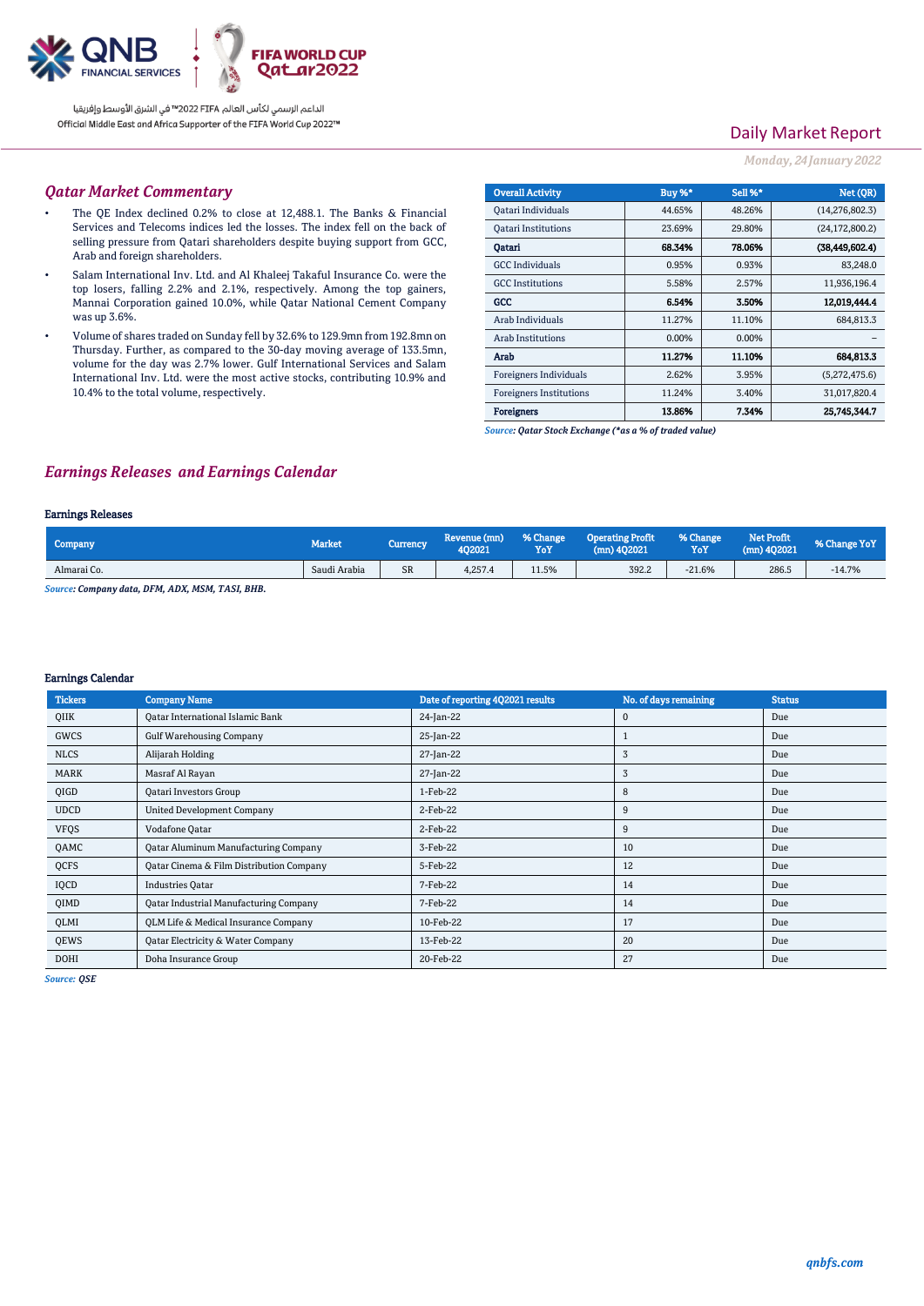

الداعم الرسمي لكأس العالم PIFA™ في الشرق الأوسط وإفريقيا Official Middle East and Africa Supporter of the FIFA World Cup 2022™

# Daily Market Report

#### *Monday, 24January 2022*

### *Qatar Market Commentary*

- The QE Index declined 0.2% to close at 12,488.1. The Banks & Financial Services and Telecoms indices led the losses. The index fell on the back of selling pressure from Qatari shareholders despite buying support from GCC, Arab and foreign shareholders.
- Salam International Inv. Ltd. and Al Khaleej Takaful Insurance Co. were the top losers, falling 2.2% and 2.1%, respectively. Among the top gainers, Mannai Corporation gained 10.0%, while Qatar National Cement Company was up 3.6%.
- Volume of shares traded on Sunday fell by 32.6% to 129.9mn from 192.8mn on Thursday. Further, as compared to the 30-day moving average of 133.5mn, volume for the day was 2.7% lower. Gulf International Services and Salam International Inv. Ltd. were the most active stocks, contributing 10.9% and 10.4% to the total volume, respectively.

| <b>Overall Activity</b>        | Buy %*   | Sell %* | Net (OR)         |
|--------------------------------|----------|---------|------------------|
| <b>Oatari Individuals</b>      | 44.65%   | 48.26%  | (14, 276, 802.3) |
| <b>Oatari Institutions</b>     | 23.69%   | 29.80%  | (24, 172, 800.2) |
| Oatari                         | 68.34%   | 78.06%  | (38, 449, 602.4) |
| <b>GCC</b> Individuals         | 0.95%    | 0.93%   | 83,248.0         |
| <b>GCC</b> Institutions        | 5.58%    | 2.57%   | 11,936,196.4     |
| GCC                            | 6.54%    | 3.50%   | 12,019,444.4     |
| Arab Individuals               | 11.27%   | 11.10%  | 684,813.3        |
| <b>Arab Institutions</b>       | $0.00\%$ | 0.00%   |                  |
| Arab                           | 11.27%   | 11.10%  | 684,813.3        |
| Foreigners Individuals         | 2.62%    | 3.95%   | (5,272,475.6)    |
| <b>Foreigners Institutions</b> | 11.24%   | 3.40%   | 31,017,820.4     |
| <b>Foreigners</b>              | 13.86%   | 7.34%   | 25.745.344.7     |

*Source: Qatar Stock Exchange (\*as a % of traded value)*

## *Earnings Releases and Earnings Calendar*

#### Earnings Releases

| Company                                                           | Market.      | Currency | Revenue (mn)<br>402021 | % Change<br>YoY | <b>Operating Profit</b><br>$(mn)$ 402021 | % Change<br>YoY | <b>Net Profit</b><br>$(mn)$ 402021 | % Change YoY |
|-------------------------------------------------------------------|--------------|----------|------------------------|-----------------|------------------------------------------|-----------------|------------------------------------|--------------|
| Almarai Co.                                                       | Saudi Arabia | SR       | 4.257.4                | 11.5%           | 392.2                                    | $-21.6%$        | 286.5                              | $-14.7%$     |
| $0, \ldots, 0, \ldots, \ldots, 1, \ldots, DPM$ A DV MOM TACE DID. |              |          |                        |                 |                                          |                 |                                    |              |

*Source: Company data, DFM, ADX, MSM, TASI, BHB.* 

#### Earnings Calendar

| <b>Tickers</b> | <b>Company Name</b>                           | Date of reporting 4Q2021 results | No. of days remaining | <b>Status</b> |
|----------------|-----------------------------------------------|----------------------------------|-----------------------|---------------|
| QIIK           | <b>Qatar International Islamic Bank</b>       | 24-Jan-22                        | $\Omega$              | Due           |
| GWCS           | <b>Gulf Warehousing Company</b>               | 25-Jan-22                        |                       | Due           |
| <b>NLCS</b>    | Alijarah Holding                              | 27-Jan-22                        | 3                     | Due           |
| MARK           | Masraf Al Rayan                               | 27-Jan-22                        | 3                     | Due           |
| QIGD           | Qatari Investors Group                        | 1-Feb-22                         | 8                     | Due           |
| <b>UDCD</b>    | <b>United Development Company</b>             | 2-Feb-22                         | 9                     | Due           |
| <b>VFQS</b>    | Vodafone Qatar                                | 2-Feb-22                         | 9                     | Due           |
| QAMC           | <b>Qatar Aluminum Manufacturing Company</b>   | 3-Feb-22                         | 10                    | Due           |
| QCFS           | Qatar Cinema & Film Distribution Company      | 5-Feb-22                         | 12                    | Due           |
| IQCD           | <b>Industries Oatar</b>                       | 7-Feb-22                         | 14                    | Due           |
| QIMD           | <b>Qatar Industrial Manufacturing Company</b> | 7-Feb-22                         | 14                    | Due           |
| QLMI           | QLM Life & Medical Insurance Company          | 10-Feb-22                        | 17                    | Due           |
| QEWS           | Qatar Electricity & Water Company             | 13-Feb-22                        | 20                    | Due           |
| <b>DOHI</b>    | Doha Insurance Group                          | 20-Feb-22                        | 27                    | Due           |

*Source: QSE*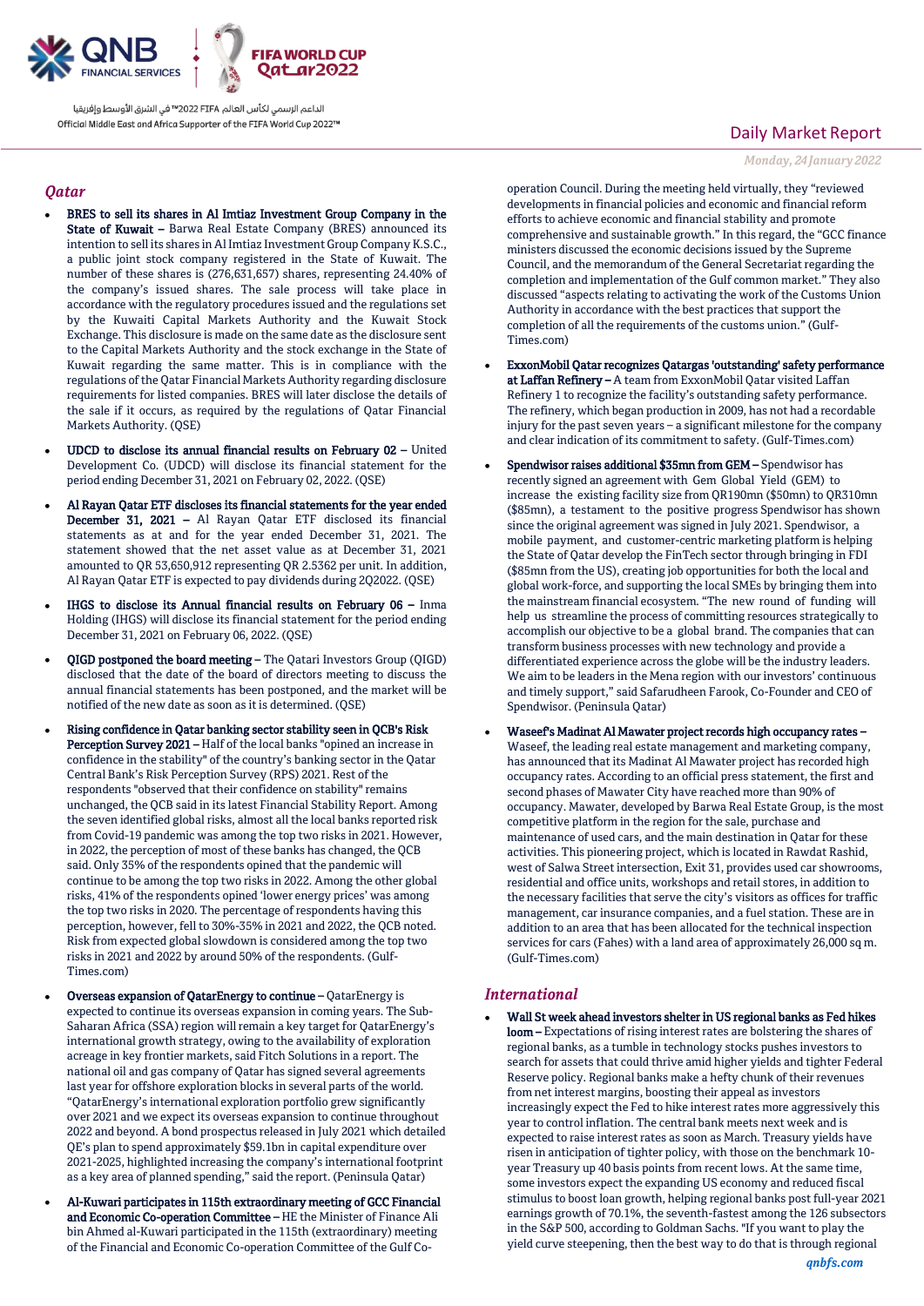

الداعم الرسمى لكأس العالم PIFA™ في الشرق الأوسط وإفريقيا Official Middle East and Africa Supporter of the FIFA World Cup 2022™

### *Qatar*

- BRES to sell its shares in Al Imtiaz Investment Group Company in the State of Kuwait - Barwa Real Estate Company (BRES) announced its intention to sell its shares in Al Imtiaz Investment Group Company K.S.C., a public joint stock company registered in the State of Kuwait. The number of these shares is (276,631,657) shares, representing 24.40% of the company's issued shares. The sale process will take place in accordance with the regulatory procedures issued and the regulations set by the Kuwaiti Capital Markets Authority and the Kuwait Stock Exchange. This disclosure is made on the same date as the disclosure sent to the Capital Markets Authority and the stock exchange in the State of Kuwait regarding the same matter. This is in compliance with the regulations of the Qatar Financial Markets Authority regarding disclosure requirements for listed companies. BRES will later disclose the details of the sale if it occurs, as required by the regulations of Qatar Financial Markets Authority. (QSE)
- UDCD to disclose its annual financial results on February 02 United Development Co. (UDCD) will disclose its financial statement for the period ending December 31, 2021 on February 02, 2022. (QSE)
- Al Rayan Qatar ETF discloses its financial statements for the year ended December 31, 2021 – Al Rayan Qatar ETF disclosed its financial statements as at and for the year ended December 31, 2021. The statement showed that the net asset value as at December 31, 2021 amounted to QR 53,650,912 representing QR 2.5362 per unit. In addition, Al Rayan Qatar ETF is expected to pay dividends during 2Q2022. (QSE)
- IHGS to disclose its Annual financial results on February 06 Inma Holding (IHGS) will disclose its financial statement for the period ending December 31, 2021 on February 06, 2022. (QSE)
- QIGD postponed the board meeting The Qatari Investors Group (QIGD) disclosed that the date of the board of directors meeting to discuss the annual financial statements has been postponed, and the market will be notified of the new date as soon as it is determined. (QSE)
- Rising confidence in Qatar banking sector stability seen in QCB's Risk Perception Survey 2021 – Half of the local banks "opined an increase in confidence in the stability" of the country's banking sector in the Qatar Central Bank's Risk Perception Survey (RPS) 2021. Rest of the respondents "observed that their confidence on stability" remains unchanged, the QCB said in its latest Financial Stability Report. Among the seven identified global risks, almost all the local banks reported risk from Covid-19 pandemic was among the top two risks in 2021. However, in 2022, the perception of most of these banks has changed, the QCB said. Only 35% of the respondents opined that the pandemic will continue to be among the top two risks in 2022. Among the other global risks, 41% of the respondents opined 'lower energy prices' was among the top two risks in 2020. The percentage of respondents having this perception, however, fell to 30%-35% in 2021 and 2022, the QCB noted. Risk from expected global slowdown is considered among the top two risks in 2021 and 2022 by around 50% of the respondents. (Gulf-Times.com)
- Overseas expansion of QatarEnergy to continue QatarEnergy is expected to continue its overseas expansion in coming years. The Sub-Saharan Africa (SSA) region will remain a key target for QatarEnergy's international growth strategy, owing to the availability of exploration acreage in key frontier markets, said Fitch Solutions in a report. The national oil and gas company of Qatar has signed several agreements last year for offshore exploration blocks in several parts of the world. "QatarEnergy's international exploration portfolio grew significantly over 2021 and we expect its overseas expansion to continue throughout 2022 and beyond. A bond prospectus released in July 2021 which detailed QE's plan to spend approximately \$59.1bn in capital expenditure over 2021-2025, highlighted increasing the company's international footprint as a key area of planned spending," said the report. (Peninsula Qatar)
- Al-Kuwari participates in 115th extraordinary meeting of GCC Financial and Economic Co-operation Committee – HE the Minister of Finance Ali bin Ahmed al-Kuwari participated in the 115th (extraordinary) meeting of the Financial and Economic Co-operation Committee of the Gulf Co-

## Daily Market Report

*Monday, 24January 2022*

operation Council. During the meeting held virtually, they "reviewed developments in financial policies and economic and financial reform efforts to achieve economic and financial stability and promote comprehensive and sustainable growth." In this regard, the "GCC finance ministers discussed the economic decisions issued by the Supreme Council, and the memorandum of the General Secretariat regarding the completion and implementation of the Gulf common market." They also discussed "aspects relating to activating the work of the Customs Union Authority in accordance with the best practices that support the completion of all the requirements of the customs union." (Gulf-Times.com)

- ExxonMobil Qatar recognizes Qatargas 'outstanding' safety performance at Laffan Refinery – A team from ExxonMobil Qatar visited Laffan Refinery 1 to recognize the facility's outstanding safety performance. The refinery, which began production in 2009, has not had a recordable injury for the past seven years – a significant milestone for the company and clear indication of its commitment to safety. (Gulf-Times.com)
- Spendwisor raises additional \$35mn from GEM Spendwisor has recently signed an agreement with Gem Global Yield (GEM) to increase the existing facility size from QR190mn (\$50mn) to QR310mn (\$85mn), a testament to the positive progress Spendwisor has shown since the original agreement was signed in July 2021. Spendwisor, a mobile payment, and customer-centric marketing platform is helping the State of Qatar develop the FinTech sector through bringing in FDI (\$85mn from the US), creating job opportunities for both the local and global work-force, and supporting the local SMEs by bringing them into the mainstream financial ecosystem. "The new round of funding will help us streamline the process of committing resources strategically to accomplish our objective to be a global brand. The companies that can transform business processes with new technology and provide a differentiated experience across the globe will be the industry leaders. We aim to be leaders in the Mena region with our investors' continuous and timely support," said Safarudheen Farook, Co-Founder and CEO of Spendwisor. (Peninsula Qatar)
- Waseef's Madinat Al Mawater project records high occupancy rates Waseef, the leading real estate management and marketing company, has announced that its Madinat Al Mawater project has recorded high occupancy rates. According to an official press statement, the first and second phases of Mawater City have reached more than 90% of occupancy. Mawater, developed by Barwa Real Estate Group, is the most competitive platform in the region for the sale, purchase and maintenance of used cars, and the main destination in Qatar for these activities. This pioneering project, which is located in Rawdat Rashid, west of Salwa Street intersection, Exit 31, provides used car showrooms, residential and office units, workshops and retail stores, in addition to the necessary facilities that serve the city's visitors as offices for traffic management, car insurance companies, and a fuel station. These are in addition to an area that has been allocated for the technical inspection services for cars (Fahes) with a land area of approximately 26,000 sq m. (Gulf-Times.com)

## *International*

 Wall St week ahead investors shelter in US regional banks as Fed hikes loom – Expectations of rising interest rates are bolstering the shares of regional banks, as a tumble in technology stocks pushes investors to search for assets that could thrive amid higher yields and tighter Federal Reserve policy. Regional banks make a hefty chunk of their revenues from net interest margins, boosting their appeal as investors increasingly expect the Fed to hike interest rates more aggressively this year to control inflation. The central bank meets next week and is expected to raise interest rates as soon as March. Treasury yields have risen in anticipation of tighter policy, with those on the benchmark 10 year Treasury up 40 basis points from recent lows. At the same time, some investors expect the expanding US economy and reduced fiscal stimulus to boost loan growth, helping regional banks post full-year 2021 earnings growth of 70.1%, the seventh-fastest among the 126 subsectors in the S&P 500, according to Goldman Sachs. "If you want to play the yield curve steepening, then the best way to do that is through regional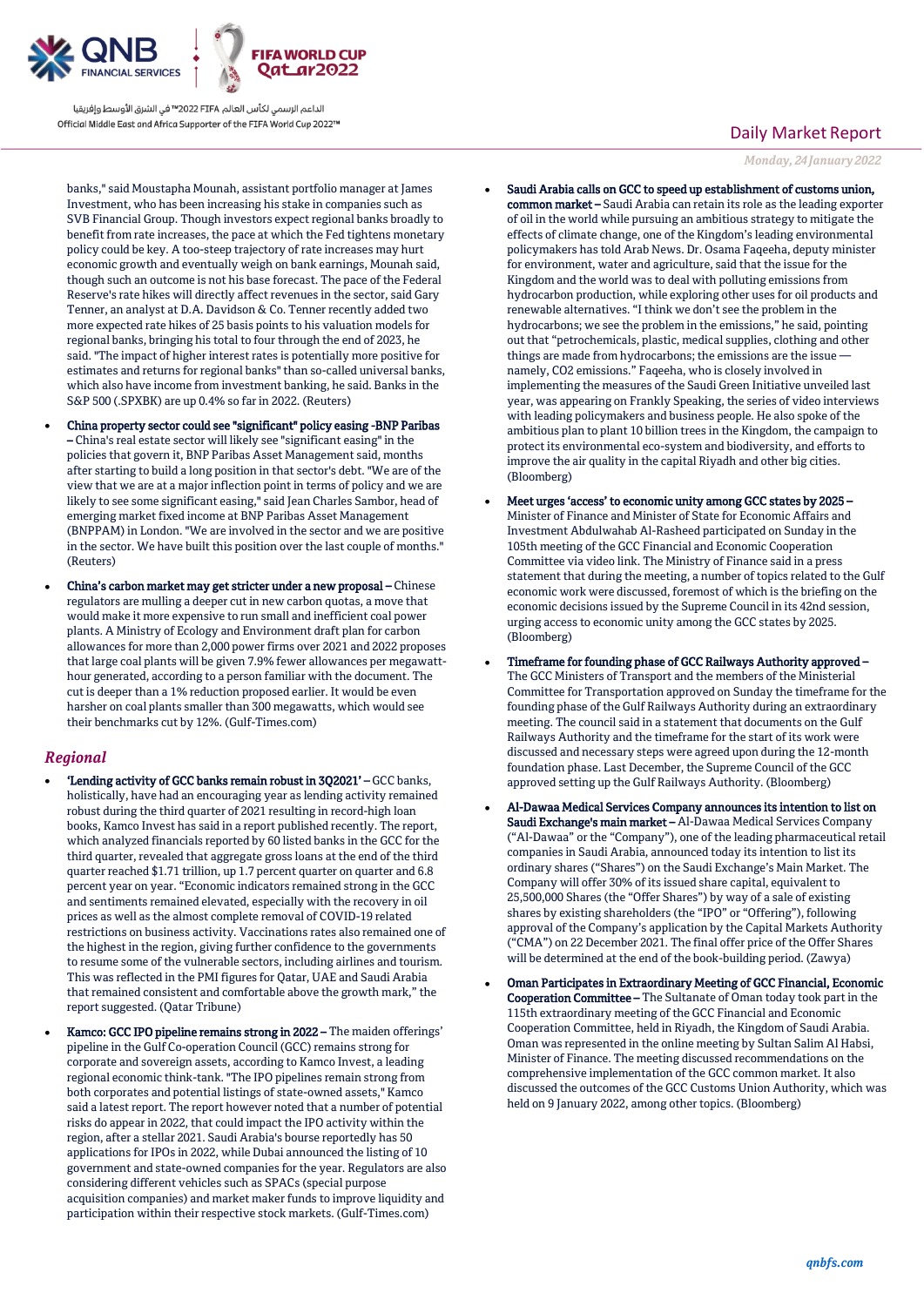

الداعم الرسمي لكأس العالم PIFA≤™ في الشرق الأوسط وإفريقيا Official Middle East and Africa Supporter of the FIFA World Cup 2022™

banks," said Moustapha Mounah, assistant portfolio manager at James Investment, who has been increasing his stake in companies such as SVB Financial Group. Though investors expect regional banks broadly to benefit from rate increases, the pace at which the Fed tightens monetary policy could be key. A too-steep trajectory of rate increases may hurt economic growth and eventually weigh on bank earnings, Mounah said, though such an outcome is not his base forecast. The pace of the Federal Reserve's rate hikes will directly affect revenues in the sector, said Gary Tenner, an analyst at D.A. Davidson & Co. Tenner recently added two more expected rate hikes of 25 basis points to his valuation models for regional banks, bringing his total to four through the end of 2023, he said. "The impact of higher interest rates is potentially more positive for estimates and returns for regional banks" than so-called universal banks, which also have income from investment banking, he said. Banks in the S&P 500 (.SPXBK) are up 0.4% so far in 2022. (Reuters)

- China property sector could see "significant" policy easing -BNP Paribas – China's real estate sector will likely see "significant easing" in the policies that govern it, BNP Paribas Asset Management said, months after starting to build a long position in that sector's debt. "We are of the view that we are at a major inflection point in terms of policy and we are likely to see some significant easing," said Jean Charles Sambor, head of emerging market fixed income at BNP Paribas Asset Management (BNPPAM) in London. "We are involved in the sector and we are positive in the sector. We have built this position over the last couple of months." (Reuters)
- China's carbon market may get stricter under a new proposal Chinese regulators are mulling a deeper cut in new carbon quotas, a move that would make it more expensive to run small and inefficient coal power plants. A Ministry of Ecology and Environment draft plan for carbon allowances for more than 2,000 power firms over 2021 and 2022 proposes that large coal plants will be given 7.9% fewer allowances per megawatthour generated, according to a person familiar with the document. The cut is deeper than a 1% reduction proposed earlier. It would be even harsher on coal plants smaller than 300 megawatts, which would see their benchmarks cut by 12%. (Gulf-Times.com)

## *Regional*

- 'Lending activity of GCC banks remain robust in 3Q2021' GCC banks, holistically, have had an encouraging year as lending activity remained robust during the third quarter of 2021 resulting in record-high loan books, Kamco Invest has said in a report published recently. The report, which analyzed financials reported by 60 listed banks in the GCC for the third quarter, revealed that aggregate gross loans at the end of the third quarter reached \$1.71 trillion, up 1.7 percent quarter on quarter and 6.8 percent year on year. "Economic indicators remained strong in the GCC and sentiments remained elevated, especially with the recovery in oil prices as well as the almost complete removal of COVID-19 related restrictions on business activity. Vaccinations rates also remained one of the highest in the region, giving further confidence to the governments to resume some of the vulnerable sectors, including airlines and tourism. This was reflected in the PMI figures for Qatar, UAE and Saudi Arabia that remained consistent and comfortable above the growth mark," the report suggested. (Qatar Tribune)
- Kamco: GCC IPO pipeline remains strong in 2022 The maiden offerings' pipeline in the Gulf Co-operation Council (GCC) remains strong for corporate and sovereign assets, according to Kamco Invest, a leading regional economic think-tank. "The IPO pipelines remain strong from both corporates and potential listings of state-owned assets," Kamco said a latest report. The report however noted that a number of potential risks do appear in 2022, that could impact the IPO activity within the region, after a stellar 2021. Saudi Arabia's bourse reportedly has 50 applications for IPOs in 2022, while Dubai announced the listing of 10 government and state-owned companies for the year. Regulators are also considering different vehicles such as SPACs (special purpose acquisition companies) and market maker funds to improve liquidity and participation within their respective stock markets. (Gulf-Times.com)

## Daily Market Report

*Monday, 24January 2022*

- Saudi Arabia calls on GCC to speed up establishment of customs union, common market – Saudi Arabia can retain its role as the leading exporter of oil in the world while pursuing an ambitious strategy to mitigate the effects of climate change, one of the Kingdom's leading environmental policymakers has told Arab News. Dr. Osama Faqeeha, deputy minister for environment, water and agriculture, said that the issue for the Kingdom and the world was to deal with polluting emissions from hydrocarbon production, while exploring other uses for oil products and renewable alternatives. "I think we don't see the problem in the hydrocarbons; we see the problem in the emissions," he said, pointing out that "petrochemicals, plastic, medical supplies, clothing and other things are made from hydrocarbons; the emissions are the issue namely, CO2 emissions." Faqeeha, who is closely involved in implementing the measures of the Saudi Green Initiative unveiled last year, was appearing on Frankly Speaking, the series of video interviews with leading policymakers and business people. He also spoke of the ambitious plan to plant 10 billion trees in the Kingdom, the campaign to protect its environmental eco-system and biodiversity, and efforts to improve the air quality in the capital Riyadh and other big cities. (Bloomberg)
- Meet urges 'access' to economic unity among GCC states by 2025 Minister of Finance and Minister of State for Economic Affairs and Investment Abdulwahab Al-Rasheed participated on Sunday in the 105th meeting of the GCC Financial and Economic Cooperation Committee via video link. The Ministry of Finance said in a press statement that during the meeting, a number of topics related to the Gulf economic work were discussed, foremost of which is the briefing on the economic decisions issued by the Supreme Council in its 42nd session, urging access to economic unity among the GCC states by 2025. (Bloomberg)
- Timeframe for founding phase of GCC Railways Authority approved The GCC Ministers of Transport and the members of the Ministerial Committee for Transportation approved on Sunday the timeframe for the founding phase of the Gulf Railways Authority during an extraordinary meeting. The council said in a statement that documents on the Gulf Railways Authority and the timeframe for the start of its work were discussed and necessary steps were agreed upon during the 12-month foundation phase. Last December, the Supreme Council of the GCC approved setting up the Gulf Railways Authority. (Bloomberg)
- Al-Dawaa Medical Services Company announces its intention to list on Saudi Exchange's main market – Al-Dawaa Medical Services Company ("Al-Dawaa" or the "Company"), one of the leading pharmaceutical retail companies in Saudi Arabia, announced today its intention to list its ordinary shares ("Shares") on the Saudi Exchange's Main Market. The Company will offer 30% of its issued share capital, equivalent to 25,500,000 Shares (the "Offer Shares") by way of a sale of existing shares by existing shareholders (the "IPO" or "Offering"), following approval of the Company's application by the Capital Markets Authority ("CMA") on 22 December 2021. The final offer price of the Offer Shares will be determined at the end of the book-building period. (Zawya)
- Oman Participates in Extraordinary Meeting of GCC Financial, Economic Cooperation Committee – The Sultanate of Oman today took part in the 115th extraordinary meeting of the GCC Financial and Economic Cooperation Committee, held in Riyadh, the Kingdom of Saudi Arabia. Oman was represented in the online meeting by Sultan Salim Al Habsi, Minister of Finance. The meeting discussed recommendations on the comprehensive implementation of the GCC common market. It also discussed the outcomes of the GCC Customs Union Authority, which was held on 9 January 2022, among other topics. (Bloomberg)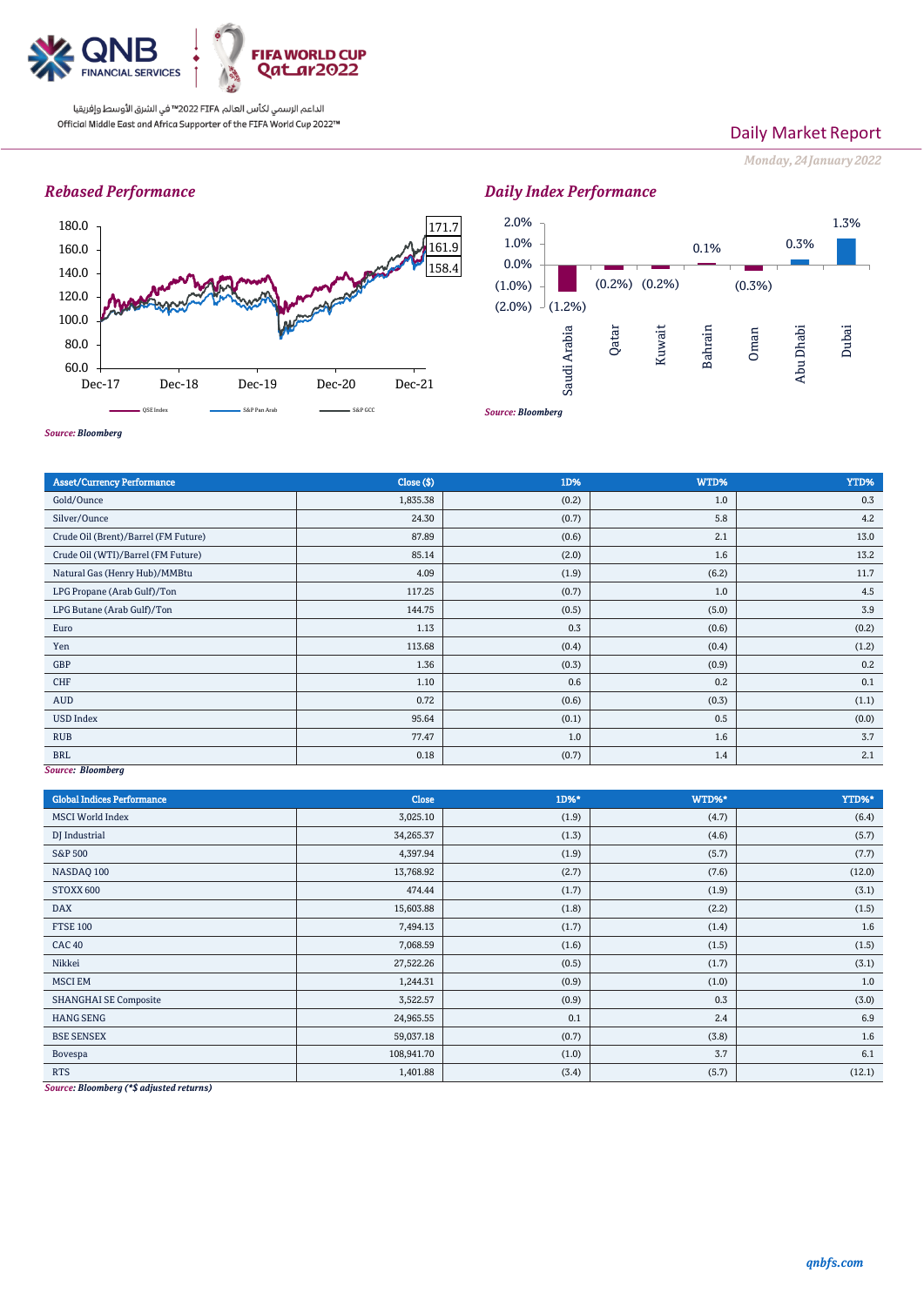

الداعم الرسمي لكأس العالم PIFA™ في الشرق الأوسط وإفريقيا Official Middle East and Africa Supporter of the FIFA World Cup 2022™

## Daily Market Report

*Monday, 24January 2022*

## *Rebased Performance*





*Source: Bloomberg*

| <b>Asset/Currency Performance</b>    | Close (\$) | 1D%   | WTD%  | YTD%  |
|--------------------------------------|------------|-------|-------|-------|
| Gold/Ounce                           | 1,835.38   | (0.2) | 1.0   | 0.3   |
| Silver/Ounce                         | 24.30      | (0.7) | 5.8   | 4.2   |
| Crude Oil (Brent)/Barrel (FM Future) | 87.89      | (0.6) | 2.1   | 13.0  |
| Crude Oil (WTI)/Barrel (FM Future)   | 85.14      | (2.0) | 1.6   | 13.2  |
| Natural Gas (Henry Hub)/MMBtu        | 4.09       | (1.9) | (6.2) | 11.7  |
| LPG Propane (Arab Gulf)/Ton          | 117.25     | (0.7) | 1.0   | 4.5   |
| LPG Butane (Arab Gulf)/Ton           | 144.75     | (0.5) | (5.0) | 3.9   |
| Euro                                 | 1.13       | 0.3   | (0.6) | (0.2) |
| Yen                                  | 113.68     | (0.4) | (0.4) | (1.2) |
| GBP                                  | 1.36       | (0.3) | (0.9) | 0.2   |
| CHF                                  | 1.10       | 0.6   | 0.2   | 0.1   |
| AUD                                  | 0.72       | (0.6) | (0.3) | (1.1) |
| <b>USD Index</b>                     | 95.64      | (0.1) | 0.5   | (0.0) |
| <b>RUB</b>                           | 77.47      | 1.0   | 1.6   | 3.7   |
| <b>BRL</b>                           | 0.18       | (0.7) | 1.4   | 2.1   |
| Source: Bloomberg                    |            |       |       |       |

*Source: Bloomberg*

| <b>Global Indices Performance</b>                                                                                                                                             | <b>Close</b> | 1D%*  | WTD%* | YTD%*  |
|-------------------------------------------------------------------------------------------------------------------------------------------------------------------------------|--------------|-------|-------|--------|
| <b>MSCI</b> World Index                                                                                                                                                       | 3,025.10     | (1.9) | (4.7) | (6.4)  |
| DJ Industrial                                                                                                                                                                 | 34,265.37    | (1.3) | (4.6) | (5.7)  |
| S&P 500                                                                                                                                                                       | 4,397.94     | (1.9) | (5.7) | (7.7)  |
| NASDAQ 100                                                                                                                                                                    | 13,768.92    | (2.7) | (7.6) | (12.0) |
| STOXX 600                                                                                                                                                                     | 474.44       | (1.7) | (1.9) | (3.1)  |
| <b>DAX</b>                                                                                                                                                                    | 15,603.88    | (1.8) | (2.2) | (1.5)  |
| <b>FTSE 100</b>                                                                                                                                                               | 7,494.13     | (1.7) | (1.4) | 1.6    |
| <b>CAC 40</b>                                                                                                                                                                 | 7,068.59     | (1.6) | (1.5) | (1.5)  |
| Nikkei                                                                                                                                                                        | 27,522.26    | (0.5) | (1.7) | (3.1)  |
| <b>MSCI EM</b>                                                                                                                                                                | 1,244.31     | (0.9) | (1.0) | 1.0    |
| <b>SHANGHAI SE Composite</b>                                                                                                                                                  | 3,522.57     | (0.9) | 0.3   | (3.0)  |
| <b>HANG SENG</b>                                                                                                                                                              | 24,965.55    | 0.1   | 2.4   | 6.9    |
| <b>BSE SENSEX</b>                                                                                                                                                             | 59,037.18    | (0.7) | (3.8) | 1.6    |
| Bovespa                                                                                                                                                                       | 108,941.70   | (1.0) | 3.7   | 6.1    |
| <b>RTS</b><br>$\mathbf{r}$ $\mathbf{r}$ $\mathbf{r}$ $\mathbf{r}$ $\mathbf{r}$ $\mathbf{r}$ $\mathbf{r}$ $\mathbf{r}$ $\mathbf{r}$ $\mathbf{r}$ $\mathbf{r}$<br>$\sim$ $\sim$ | 1,401.88     | (3.4) | (5.7) | (12.1) |

*Source: Bloomberg (\*\$ adjusted returns)*